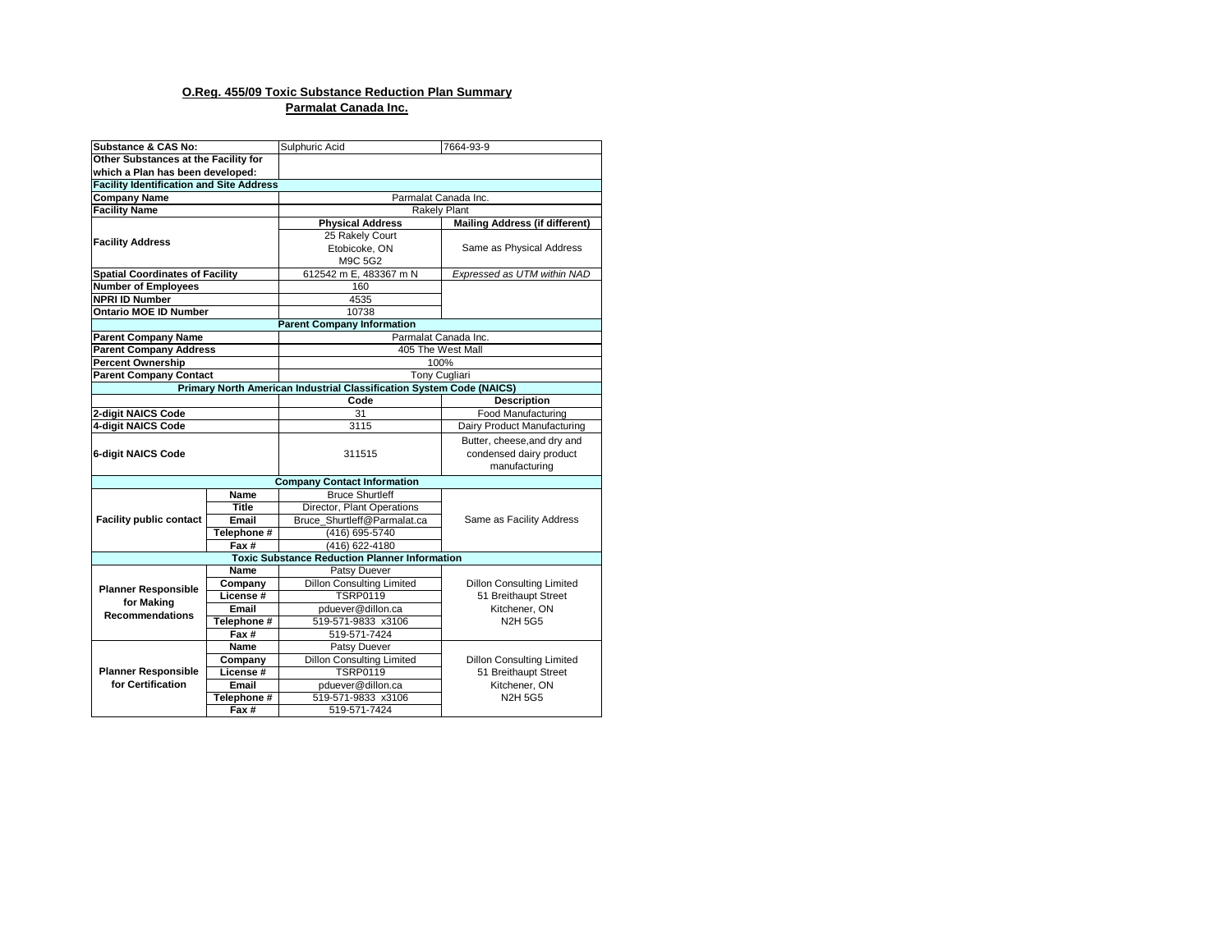## **O.Reg. 455/09 Toxic Substance Reduction Plan Summary Parmalat Canada Inc.**

| Substance & CAS No:                             |              | Sulphuric Acid                                                       | 7664-93-9                             |  |  |  |  |  |  |
|-------------------------------------------------|--------------|----------------------------------------------------------------------|---------------------------------------|--|--|--|--|--|--|
| Other Substances at the Facility for            |              |                                                                      |                                       |  |  |  |  |  |  |
| which a Plan has been developed:                |              |                                                                      |                                       |  |  |  |  |  |  |
| <b>Facility Identification and Site Address</b> |              |                                                                      |                                       |  |  |  |  |  |  |
| <b>Company Name</b>                             |              | Parmalat Canada Inc.                                                 |                                       |  |  |  |  |  |  |
| <b>Facility Name</b>                            |              | <b>Rakely Plant</b>                                                  |                                       |  |  |  |  |  |  |
|                                                 |              | <b>Physical Address</b>                                              | <b>Mailing Address (if different)</b> |  |  |  |  |  |  |
| <b>Facility Address</b>                         |              | 25 Rakely Court                                                      |                                       |  |  |  |  |  |  |
|                                                 |              | Etobicoke, ON                                                        | Same as Physical Address              |  |  |  |  |  |  |
|                                                 |              | M9C 5G2                                                              |                                       |  |  |  |  |  |  |
| <b>Spatial Coordinates of Facility</b>          |              | 612542 m E, 483367 m N                                               | Expressed as UTM within NAD           |  |  |  |  |  |  |
| <b>Number of Employees</b>                      |              | 160                                                                  |                                       |  |  |  |  |  |  |
| <b>NPRI ID Number</b>                           |              | 4535                                                                 |                                       |  |  |  |  |  |  |
| <b>Ontario MOE ID Number</b>                    |              | 10738                                                                |                                       |  |  |  |  |  |  |
|                                                 |              | <b>Parent Company Information</b>                                    |                                       |  |  |  |  |  |  |
| <b>Parent Company Name</b>                      |              | Parmalat Canada Inc.                                                 |                                       |  |  |  |  |  |  |
| <b>Parent Company Address</b>                   |              |                                                                      | 405 The West Mall                     |  |  |  |  |  |  |
| <b>Percent Ownership</b>                        |              |                                                                      | 100%                                  |  |  |  |  |  |  |
| <b>Parent Company Contact</b>                   |              |                                                                      | <b>Tony Cugliari</b>                  |  |  |  |  |  |  |
|                                                 |              | Primary North American Industrial Classification System Code (NAICS) |                                       |  |  |  |  |  |  |
|                                                 |              | Code                                                                 | <b>Description</b>                    |  |  |  |  |  |  |
| 2-digit NAICS Code                              |              | 31                                                                   | Food Manufacturing                    |  |  |  |  |  |  |
| 4-digit NAICS Code                              |              | 3115                                                                 | Dairy Product Manufacturing           |  |  |  |  |  |  |
|                                                 |              |                                                                      | Butter, cheese, and dry and           |  |  |  |  |  |  |
| <b>6-digit NAICS Code</b>                       |              | 311515                                                               | condensed dairy product               |  |  |  |  |  |  |
|                                                 |              |                                                                      | manufacturing                         |  |  |  |  |  |  |
|                                                 |              | <b>Company Contact Information</b>                                   |                                       |  |  |  |  |  |  |
|                                                 | Name         | <b>Bruce Shurtleff</b>                                               |                                       |  |  |  |  |  |  |
|                                                 | <b>Title</b> | Director, Plant Operations                                           |                                       |  |  |  |  |  |  |
| <b>Facility public contact</b>                  | Email        | Bruce Shurtleff@Parmalat.ca                                          | Same as Facility Address              |  |  |  |  |  |  |
|                                                 | Telephone #  | (416) 695-5740                                                       |                                       |  |  |  |  |  |  |
|                                                 | Fax#         | (416) 622-4180                                                       |                                       |  |  |  |  |  |  |
|                                                 |              | <b>Toxic Substance Reduction Planner Information</b>                 |                                       |  |  |  |  |  |  |
|                                                 | Name         | Patsy Duever                                                         |                                       |  |  |  |  |  |  |
| <b>Planner Responsible</b>                      | Company      | <b>Dillon Consulting Limited</b>                                     | <b>Dillon Consulting Limited</b>      |  |  |  |  |  |  |
| for Making                                      | License #    | <b>TSRP0119</b>                                                      | 51 Breithaupt Street                  |  |  |  |  |  |  |
| <b>Recommendations</b>                          | <b>Email</b> | pduever@dillon.ca                                                    | Kitchener, ON                         |  |  |  |  |  |  |
|                                                 | Telephone #  | 519-571-9833 x3106                                                   | <b>N2H 5G5</b>                        |  |  |  |  |  |  |
|                                                 | Fax#         | 519-571-7424                                                         |                                       |  |  |  |  |  |  |
|                                                 | Name         | Patsy Duever                                                         |                                       |  |  |  |  |  |  |
|                                                 | Company      | <b>Dillon Consulting Limited</b>                                     | <b>Dillon Consulting Limited</b>      |  |  |  |  |  |  |
| <b>Planner Responsible</b>                      | License#     | <b>TSRP0119</b>                                                      | 51 Breithaupt Street                  |  |  |  |  |  |  |
| for Certification                               | Email        | pduever@dillon.ca                                                    | Kitchener, ON                         |  |  |  |  |  |  |
|                                                 | Telephone #  | 519-571-9833 x3106                                                   | <b>N2H 5G5</b>                        |  |  |  |  |  |  |
|                                                 | Fax#         | 519-571-7424                                                         |                                       |  |  |  |  |  |  |